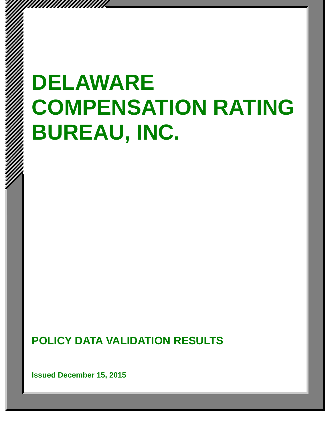# **DELAWARE COMPENSATION RATING BUREAU, INC.**

**POLICY DATA VALIDATION RESULTS** 

**Issued December 15, 2015** 

*mmmmmmm*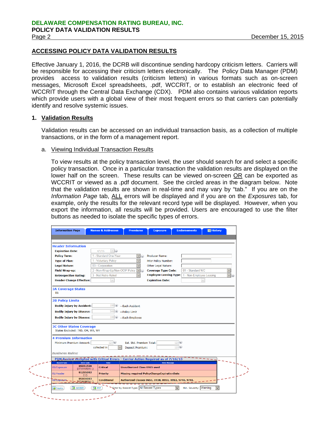# **ACCESSING POLICY DATA VALIDATION RESULTS**

Effective January 1, 2016, the DCRB will discontinue sending hardcopy criticism letters. Carriers will be responsible for accessing their criticism letters electronically. The Policy Data Manager (PDM) provides access to validation results (criticism letters) in various formats such as on-screen messages, Microsoft Excel spreadsheets, .pdf, WCCRIT, or to establish an electronic feed of WCCRIT through the Central Data Exchange (CDX). PDM also contains various validation reports which provide users with a global view of their most frequent errors so that carriers can potentially identify and resolve systemic issues.

# **1. Validation Results**

Validation results can be accessed on an individual transaction basis, as a collection of multiple transactions, or in the form of a management report.

## a. Viewing Individual Transaction Results

To view results at the policy transaction level, the user should search for and select a specific policy transaction. Once in a particular transaction the validation results are displayed on the lower half on the screen. These results can be viewed on-screen OR can be exported as WCCRIT or viewed as a .pdf document. See the circled areas in the diagram below. Note that the validation results are shown in real-time and may vary by "tab." If you are on the *Information Page* tab, ALL errors will be displayed and if you are on the *Exposures* tab, for example, only the results for the relevant record type will be displayed. However, when you export the information, all results will be provided. Users are encouraged to use the filter buttons as needed to isolate the specific types of errors.

| <b>Header Information</b><br>$\vee$ (i)<br><b>Expiration Date:</b><br>4/1/16<br><b>Policy Term:</b><br>1 - Standard One-Year<br><b>Producer Name:</b><br>1 - Voluntary Policy<br><b>Type of Plan:</b><br><b>Prior Policy Number:</b><br><b>Legal Nature:</b><br>03 - Corporation<br>Other Legal Nature:<br>2 - Non-Wrap-Up/Non-OCIP Policy<br>01 - Standard WC<br><b>Field Wrap-up:</b><br><b>Coverage Type Code:</b><br>M<br>$\mathbf{G}$<br><b>Employee Leasing Type:</b><br>1 - Non-Employee Leasing<br>3 - Not Retro Rated<br><b>Retrospective Rating:</b><br>$\checkmark$<br><b>Header Change Effective:</b><br><b>Expiration Date:</b><br>PA<br>100(x)<br><b>Bodily Injury by Accident:</b><br>-Each Accident<br>$500$ $\odot$<br><b>Bodily Injury by Disease:</b><br>-Policy Limit<br>100(i)<br><b>Bodily Injury by Disease:</b><br>-Each Employee<br>States Excluded:   ND, OH, WA, WY<br>Minimum Premium Amount:<br>123 W<br>Est. Std. Premium Total:<br>123)<br>123<br>collected in<br><b>Deposit Premium:</b><br>PDM Review Accepted with Critical Errors - Carrier Action Required as of 7/16/15<br><b>Record Type</b><br><b>Error Code</b><br>Toler.<br><b>Error Message</b><br>05051509<br><b>Critical</b><br><b>Unauthorized Class 0965 used</b><br>${37 0965 01}$ }<br>01295003<br><b>Missing required PolicyChangeExpirationDate</b><br><b>Priority</b><br>${III}$<br>05000003 | <b>Information Page</b> | <b>Names &amp; Addresses</b> | <b>Premiums</b> | <b>Exposure</b> | <b>Endorsements</b> | <b>Ed History</b> |                   |
|-------------------------------------------------------------------------------------------------------------------------------------------------------------------------------------------------------------------------------------------------------------------------------------------------------------------------------------------------------------------------------------------------------------------------------------------------------------------------------------------------------------------------------------------------------------------------------------------------------------------------------------------------------------------------------------------------------------------------------------------------------------------------------------------------------------------------------------------------------------------------------------------------------------------------------------------------------------------------------------------------------------------------------------------------------------------------------------------------------------------------------------------------------------------------------------------------------------------------------------------------------------------------------------------------------------------------------------------------------------------------------------------------|-------------------------|------------------------------|-----------------|-----------------|---------------------|-------------------|-------------------|
|                                                                                                                                                                                                                                                                                                                                                                                                                                                                                                                                                                                                                                                                                                                                                                                                                                                                                                                                                                                                                                                                                                                                                                                                                                                                                                                                                                                                 |                         |                              |                 |                 |                     |                   |                   |
| <b>3A Coverage States</b><br><b>3B Policy Limits</b><br><b>3C Other States Coverage</b><br><b>4 Premium Information</b><br><b>Business Rules:</b><br>05/Exposure<br>01/Header                                                                                                                                                                                                                                                                                                                                                                                                                                                                                                                                                                                                                                                                                                                                                                                                                                                                                                                                                                                                                                                                                                                                                                                                                   |                         |                              |                 |                 |                     |                   |                   |
|                                                                                                                                                                                                                                                                                                                                                                                                                                                                                                                                                                                                                                                                                                                                                                                                                                                                                                                                                                                                                                                                                                                                                                                                                                                                                                                                                                                                 |                         |                              |                 |                 |                     |                   |                   |
|                                                                                                                                                                                                                                                                                                                                                                                                                                                                                                                                                                                                                                                                                                                                                                                                                                                                                                                                                                                                                                                                                                                                                                                                                                                                                                                                                                                                 |                         |                              |                 |                 |                     |                   |                   |
|                                                                                                                                                                                                                                                                                                                                                                                                                                                                                                                                                                                                                                                                                                                                                                                                                                                                                                                                                                                                                                                                                                                                                                                                                                                                                                                                                                                                 |                         |                              |                 |                 |                     |                   |                   |
|                                                                                                                                                                                                                                                                                                                                                                                                                                                                                                                                                                                                                                                                                                                                                                                                                                                                                                                                                                                                                                                                                                                                                                                                                                                                                                                                                                                                 |                         |                              |                 |                 |                     |                   |                   |
|                                                                                                                                                                                                                                                                                                                                                                                                                                                                                                                                                                                                                                                                                                                                                                                                                                                                                                                                                                                                                                                                                                                                                                                                                                                                                                                                                                                                 |                         |                              |                 |                 |                     |                   |                   |
|                                                                                                                                                                                                                                                                                                                                                                                                                                                                                                                                                                                                                                                                                                                                                                                                                                                                                                                                                                                                                                                                                                                                                                                                                                                                                                                                                                                                 |                         |                              |                 |                 |                     |                   | $\left( i\right)$ |
|                                                                                                                                                                                                                                                                                                                                                                                                                                                                                                                                                                                                                                                                                                                                                                                                                                                                                                                                                                                                                                                                                                                                                                                                                                                                                                                                                                                                 |                         |                              |                 |                 |                     |                   |                   |
|                                                                                                                                                                                                                                                                                                                                                                                                                                                                                                                                                                                                                                                                                                                                                                                                                                                                                                                                                                                                                                                                                                                                                                                                                                                                                                                                                                                                 |                         |                              |                 |                 |                     |                   |                   |
|                                                                                                                                                                                                                                                                                                                                                                                                                                                                                                                                                                                                                                                                                                                                                                                                                                                                                                                                                                                                                                                                                                                                                                                                                                                                                                                                                                                                 |                         |                              |                 |                 |                     |                   |                   |
|                                                                                                                                                                                                                                                                                                                                                                                                                                                                                                                                                                                                                                                                                                                                                                                                                                                                                                                                                                                                                                                                                                                                                                                                                                                                                                                                                                                                 |                         |                              |                 |                 |                     |                   |                   |
|                                                                                                                                                                                                                                                                                                                                                                                                                                                                                                                                                                                                                                                                                                                                                                                                                                                                                                                                                                                                                                                                                                                                                                                                                                                                                                                                                                                                 |                         |                              |                 |                 |                     |                   |                   |
|                                                                                                                                                                                                                                                                                                                                                                                                                                                                                                                                                                                                                                                                                                                                                                                                                                                                                                                                                                                                                                                                                                                                                                                                                                                                                                                                                                                                 |                         |                              |                 |                 |                     |                   |                   |
|                                                                                                                                                                                                                                                                                                                                                                                                                                                                                                                                                                                                                                                                                                                                                                                                                                                                                                                                                                                                                                                                                                                                                                                                                                                                                                                                                                                                 |                         |                              |                 |                 |                     |                   |                   |
|                                                                                                                                                                                                                                                                                                                                                                                                                                                                                                                                                                                                                                                                                                                                                                                                                                                                                                                                                                                                                                                                                                                                                                                                                                                                                                                                                                                                 |                         |                              |                 |                 |                     |                   |                   |
|                                                                                                                                                                                                                                                                                                                                                                                                                                                                                                                                                                                                                                                                                                                                                                                                                                                                                                                                                                                                                                                                                                                                                                                                                                                                                                                                                                                                 |                         |                              |                 |                 |                     |                   |                   |
|                                                                                                                                                                                                                                                                                                                                                                                                                                                                                                                                                                                                                                                                                                                                                                                                                                                                                                                                                                                                                                                                                                                                                                                                                                                                                                                                                                                                 |                         |                              |                 |                 |                     |                   |                   |
|                                                                                                                                                                                                                                                                                                                                                                                                                                                                                                                                                                                                                                                                                                                                                                                                                                                                                                                                                                                                                                                                                                                                                                                                                                                                                                                                                                                                 |                         |                              |                 |                 |                     |                   |                   |
|                                                                                                                                                                                                                                                                                                                                                                                                                                                                                                                                                                                                                                                                                                                                                                                                                                                                                                                                                                                                                                                                                                                                                                                                                                                                                                                                                                                                 |                         |                              |                 |                 |                     |                   |                   |
|                                                                                                                                                                                                                                                                                                                                                                                                                                                                                                                                                                                                                                                                                                                                                                                                                                                                                                                                                                                                                                                                                                                                                                                                                                                                                                                                                                                                 |                         |                              |                 |                 |                     |                   |                   |
|                                                                                                                                                                                                                                                                                                                                                                                                                                                                                                                                                                                                                                                                                                                                                                                                                                                                                                                                                                                                                                                                                                                                                                                                                                                                                                                                                                                                 |                         |                              |                 |                 |                     |                   |                   |
|                                                                                                                                                                                                                                                                                                                                                                                                                                                                                                                                                                                                                                                                                                                                                                                                                                                                                                                                                                                                                                                                                                                                                                                                                                                                                                                                                                                                 |                         |                              |                 |                 |                     |                   |                   |
|                                                                                                                                                                                                                                                                                                                                                                                                                                                                                                                                                                                                                                                                                                                                                                                                                                                                                                                                                                                                                                                                                                                                                                                                                                                                                                                                                                                                 |                         |                              |                 |                 |                     |                   |                   |
|                                                                                                                                                                                                                                                                                                                                                                                                                                                                                                                                                                                                                                                                                                                                                                                                                                                                                                                                                                                                                                                                                                                                                                                                                                                                                                                                                                                                 |                         |                              |                 |                 |                     |                   |                   |
| Authorized Classes 0651, 0938, 0951, 0953, 9740, 9741.<br>[37]99991011]                                                                                                                                                                                                                                                                                                                                                                                                                                                                                                                                                                                                                                                                                                                                                                                                                                                                                                                                                                                                                                                                                                                                                                                                                                                                                                                         |                         |                              |                 |                 |                     |                   |                   |
| Eilter by Record Type: All Record Types<br>Min. Severity: Warning                                                                                                                                                                                                                                                                                                                                                                                                                                                                                                                                                                                                                                                                                                                                                                                                                                                                                                                                                                                                                                                                                                                                                                                                                                                                                                                               | 05/Exposure             | <b>Conditional</b>           |                 |                 |                     |                   |                   |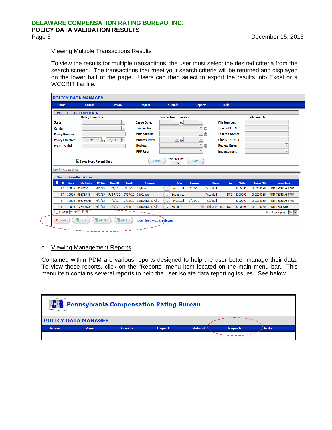# Viewing Multiple Transactions Results

To view the results for multiple transactions, the user must select the desired criteria from the search screen. The transactions that meet your search criteria will be returned and displayed on the lower half of the page. Users can then select to export the results into Excel or a WCCRIT flat file.

|                          | <b>Search</b>                           |                  | <b>Create</b>     |                 | <b>Import</b>                         | Submit                                                 | <b>Reports</b> |                             | <b>Help</b>          |                        |                        |                                                                               |
|--------------------------|-----------------------------------------|------------------|-------------------|-----------------|---------------------------------------|--------------------------------------------------------|----------------|-----------------------------|----------------------|------------------------|------------------------|-------------------------------------------------------------------------------|
|                          | <b>POLICY SEARCH CRITERIA</b>           |                  |                   |                 |                                       |                                                        |                |                             |                      |                        |                        |                                                                               |
|                          | <b>Policy Identifiers</b>               |                  |                   |                 |                                       | <b>Transaction Identifiers</b>                         |                |                             |                      |                        | <b>File Search</b>     |                                                                               |
| State:                   |                                         |                  |                   | $\lor$          | <b>Issue Date:</b>                    | $\vee$<br>l to                                         |                | $\backsim$                  | <b>File Number:</b>  |                        |                        |                                                                               |
| <b>Carrier:</b>          |                                         |                  |                   | $\vee$          | <b>Transaction:</b>                   |                                                        |                | $\check{~}$<br>Ô            | <b>Insured FEIN:</b> |                        |                        |                                                                               |
| <b>Policy Number:</b>    |                                         |                  |                   |                 | <b>PDM Status:</b>                    |                                                        |                | $\vert$ $\vee$<br>$\bullet$ | <b>Insured Name:</b> |                        |                        |                                                                               |
| <b>Policy Effective:</b> | 4/1/15                                  | $\vee$ to        | 4/1/15            | $\vee$          | <b>Process Date:</b>                  | $\backsim$<br>l to                                     |                | $\vee$                      | City, ST or ZIP:     |                        |                        |                                                                               |
| <b>WCPOLS Link:</b>      |                                         |                  |                   |                 | <b>Review:</b>                        |                                                        |                | $\vee$<br>⊜                 | <b>Review Error:</b> |                        |                        | $\vee$                                                                        |
|                          |                                         |                  |                   |                 | <b>PDM User:</b>                      |                                                        |                | $\vee$                      | <b>Endorsement:</b>  |                        |                        | $\overline{\vee}$                                                             |
|                          |                                         |                  |                   |                 |                                       | 50                                                     |                |                             |                      |                        |                        |                                                                               |
| <b>Business Rules:</b>   |                                         |                  |                   |                 |                                       |                                                        |                |                             |                      |                        |                        |                                                                               |
|                          | <b>Search Results - 4 txns</b>          |                  |                   |                 |                                       |                                                        |                |                             |                      |                        |                        |                                                                               |
| Ш<br>Carrier<br>ST       | <b>Policy Number</b>                    | <b>Eff.</b> Date | <b>ChangeEff.</b> | <b>Issue Dt</b> | <b>Transaction</b>                    | <b>Status</b>                                          | Processed      | <b>Review</b>               | User.                | <b>File Nbr</b>        | <b>Insured FEIN</b>    | <b>Insured Name</b>                                                           |
| PA                       | 15066 0123456                           | 4/1/15           | 4/1/15            | 7/21/15 01/New  |                                       | $\mathbb{Q}$<br>Processed                              | 7/21/15        | Accepted                    |                      | 3356595<br>DCO 3356595 | 000200030              |                                                                               |
|                          | PA 15066 09878543<br>PA 15066 098786543 | 4/1/15<br>4/1/15 | 7/17/15<br>4/1/15 | 7/21/15         | 7/17/15 05/Cancel<br>10/Nonrating Chg | $\mathbb{Q}$<br>Submitted<br>$\mathbb{Q}$<br>Processed | 7/21/15        | Accepted<br>Accepted        |                      | 3356595                | 000200030<br>000200030 |                                                                               |
|                          | PA 15066 12345678                       | 4/1/15           | 4/1/15            |                 | 7/16/15 10/Nonrating Chg              | Submitted                                              |                | Critical Errors             |                      | DCO 3356598            | 000100020              | PDM TEST ONE                                                                  |
| L Page F of T T T<br>м   |                                         |                  |                   |                 |                                       |                                                        |                |                             |                      |                        |                        | PDM TESTING TWO<br>PDM TESTING TWO<br>PDM TESTING TWO<br>Results per page: 20 |

#### c. Viewing Management Reports

Contained within PDM are various reports designed to help the user better manage their data. To view these reports, click on the "Reports" menu item located on the main menu bar. This menu item contains several reports to help the user isolate data reporting issues. See below.

| <b>Pennsylvania Compensation Rating Bureau</b> |                            |               |               |               |                |             |  |  |
|------------------------------------------------|----------------------------|---------------|---------------|---------------|----------------|-------------|--|--|
|                                                | <b>POLICY DATA MANAGER</b> |               |               |               |                |             |  |  |
| <b>Home</b>                                    | <b>Search</b>              | <b>Create</b> | <b>Import</b> | <b>Submit</b> | <b>Reports</b> | <b>Help</b> |  |  |
|                                                |                            |               |               |               |                |             |  |  |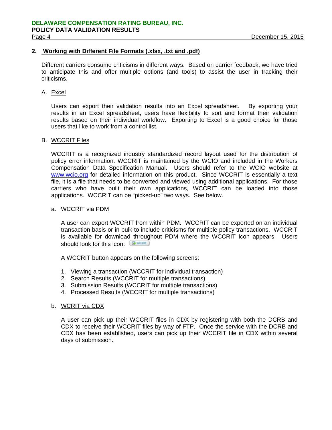# **2. Working with Different File Formats (.xlsx, .txt and .pdf)**

Different carriers consume criticisms in different ways. Based on carrier feedback, we have tried to anticipate this and offer multiple options (and tools) to assist the user in tracking their criticisms.

# A. Excel

Users can export their validation results into an Excel spreadsheet. By exporting your results in an Excel spreadsheet, users have flexibility to sort and format their validation results based on their individual workflow. Exporting to Excel is a good choice for those users that like to work from a control list.

## B. WCCRIT Files

WCCRIT is a recognized industry standardized record layout used for the distribution of policy error information. WCCRIT is maintained by the WCIO and included in the Workers Compensation Data Specification Manual. Users should refer to the WCIO website at www.wcio.org for detailed information on this product. Since WCCRIT is essentially a text file, it is a file that needs to be converted and viewed using additional applications. For those carriers who have built their own applications, WCCRIT can be loaded into those applications. WCCRIT can be "picked-up" two ways. See below.

# a. WCCRIT via PDM

A user can export WCCRIT from within PDM. WCCRIT can be exported on an individual transaction basis or in bulk to include criticisms for multiple policy transactions. WCCRIT is available for download throughout PDM where the WCCRIT icon appears. Users should look for this icon: **E** WCCRIT

A WCCRIT button appears on the following screens:

- 1. Viewing a transaction (WCCRIT for individual transaction)
- 2. Search Results (WCCRIT for multiple transactions)
- 3. Submission Results (WCCRIT for multiple transactions)
- 4. Processed Results (WCCRIT for multiple transactions)

# b. WCRIT via CDX

A user can pick up their WCCRIT files in CDX by registering with both the DCRB and CDX to receive their WCCRIT files by way of FTP. Once the service with the DCRB and CDX has been established, users can pick up their WCCRIT file in CDX within several days of submission.